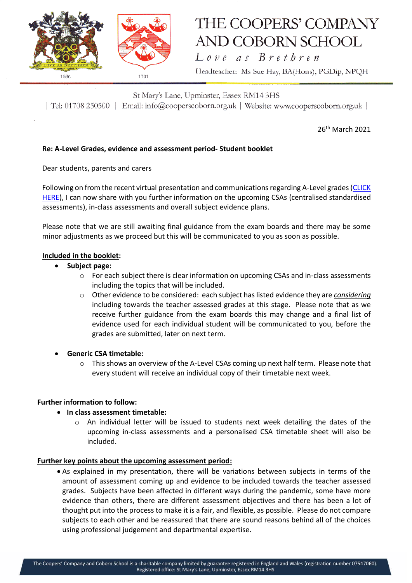

# THE COOPERS' COMPANY **AND COBORN SCHOOL**

Love as Brethren Headteacher: Ms Sue Hay, BA(Hons), PGDip, NPQH

St Mary's Lane, Upminster, Essex RM14 3HS | Tel: 01708 250500 | Email: info@cooperscoborn.org.uk | Website: www.cooperscoborn.org.uk |

26<sup>th</sup> March 2021

## **Re: A-Level Grades, evidence and assessment period- Student booklet**

Dear students, parents and carers

Following on from the recent virtual presentation and communications regarding A-Level grades[\(CLICK](https://drive.google.com/file/d/1Z77kI5XOmIFE0A5czxr091MJO1FMroA4/view?usp=sharing)  [HERE\)](https://drive.google.com/file/d/1Z77kI5XOmIFE0A5czxr091MJO1FMroA4/view?usp=sharing), I can now share with you further information on the upcoming CSAs (centralised standardised assessments), in-class assessments and overall subject evidence plans.

Please note that we are still awaiting final guidance from the exam boards and there may be some minor adjustments as we proceed but this will be communicated to you as soon as possible.

#### **Included in the booklet:**

- **Subject page:** 
	- o For each subject there is clear information on upcoming CSAs and in-class assessments including the topics that will be included.
	- o Other evidence to be considered: each subject has listed evidence they are *considering* including towards the teacher assessed grades at this stage. Please note that as we receive further guidance from the exam boards this may change and a final list of evidence used for each individual student will be communicated to you, before the grades are submitted, later on next term.
- **Generic CSA timetable:**
	- $\circ$  This shows an overview of the A-Level CSAs coming up next half term. Please note that every student will receive an individual copy of their timetable next week.

#### **Further information to follow:**

#### **In class assessment timetable:**

 $\circ$  An individual letter will be issued to students next week detailing the dates of the upcoming in-class assessments and a personalised CSA timetable sheet will also be included.

#### **Further key points about the upcoming assessment period:**

 As explained in my presentation, there will be variations between subjects in terms of the amount of assessment coming up and evidence to be included towards the teacher assessed grades. Subjects have been affected in different ways during the pandemic, some have more evidence than others, there are different assessment objectives and there has been a lot of thought put into the process to make it is a fair, and flexible, as possible. Please do not compare subjects to each other and be reassured that there are sound reasons behind all of the choices using professional judgement and departmental expertise.